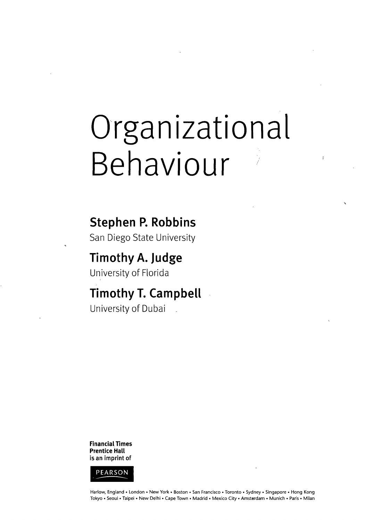# Organizational Behaviour

**Stephen P. Robbins**

San Diego State University

**Timothy A. Judge** University of Florida

**Timothy T. Campbell** University of Dubai .

**Financial Times Prentice Hall is an imprint of**



Harlow, England • London • New York • Boston • San Francisco • Toronto • Sydney • Singapore • Hong Kong Tokyo • Seoul • Taipei • New Delhi • Cape Town • Madrid • Mexico City • Amsterdam • Munich • Paris • Milan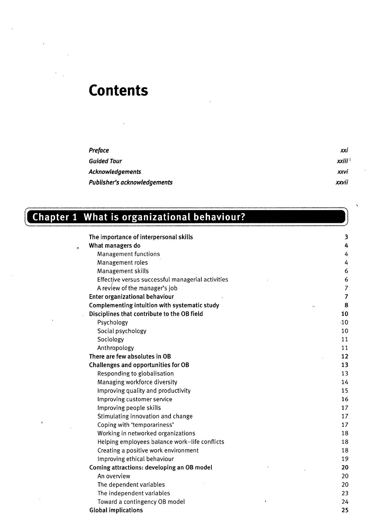# **Contents**

| <b>Preface</b>                      | XXI     |
|-------------------------------------|---------|
| <b>Guided Tour</b>                  | xxiii ' |
| <b>Acknowledgements</b>             | xxvi    |
| <b>Publisher's acknowledgements</b> | xxvii   |

# **Chapter 1 What is organizational behaviour?**

 $\epsilon$ 

| The importance of interpersonal skills        |                                                   | 3                   |
|-----------------------------------------------|---------------------------------------------------|---------------------|
| What managers do<br>$\circ$                   |                                                   | 4                   |
| Management functions                          |                                                   | 4                   |
| Management roles                              |                                                   | 4                   |
| Management skills                             |                                                   | 6                   |
|                                               | Effective versus successful managerial activities | 6                   |
| A review of the manager's job                 |                                                   | 7                   |
| Enter organizational behaviour                |                                                   | 7                   |
| Complementing intuition with systematic study |                                                   | 8<br>$\mathbb{C}^2$ |
| Disciplines that contribute to the OB field   |                                                   | 10                  |
| Psychology                                    |                                                   | $\sqrt{10}$         |
| Social psychology                             |                                                   | 10                  |
| Sociology                                     |                                                   | 11                  |
| Anthropology                                  |                                                   | 11                  |
| There are few absolutes in OB                 |                                                   | 12                  |
| Challenges and opportunities for OB           |                                                   | 13                  |
| Responding to globalisation                   |                                                   | 13                  |
| Managing workforce diversity                  |                                                   | 14                  |
| Improving quality and productivity            |                                                   | 15                  |
| Improving customer service                    |                                                   | 16                  |
| Improving people skills                       |                                                   | 17                  |
| Stimulating innovation and change             |                                                   | 17                  |
| Coping with 'temporariness'                   |                                                   | 17                  |
| Working in networked organizations            |                                                   | 18                  |
|                                               | Helping employees balance work-life conflicts     | 18                  |
| Creating a positive work environment          |                                                   | 18                  |
| Improving ethical behaviour                   |                                                   | 19                  |
| Coming attractions: developing an OB model    |                                                   | 20                  |
| An overview                                   |                                                   | 20                  |
| The dependent variables                       |                                                   | 20                  |
| The independent variables                     |                                                   | 23                  |
| Toward a contingency OB model                 |                                                   | 24                  |
| <b>Global implications</b>                    |                                                   | 25                  |
|                                               |                                                   |                     |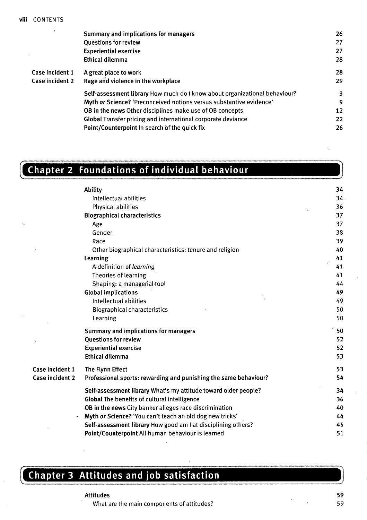| Summary and implications for managers                                      | 26 |
|----------------------------------------------------------------------------|----|
| <b>Questions for review</b>                                                | 27 |
| <b>Experiential exercise</b>                                               | 27 |
| Ethical dilemma                                                            | 28 |
| A great place to work                                                      | 28 |
| Rage and violence in the workplace                                         | 29 |
| Self-assessment library How much do I know about organizational behaviour? | 3  |
| Myth or Science? 'Preconceived notions versus substantive evidence'        | 9  |
| <b>OB</b> in the news Other disciplines make use of OB concepts            | 12 |
| Global Transfer pricing and international corporate deviance               | 22 |
| Point/Counterpoint In search of the quick fix                              | 26 |
|                                                                            |    |

## **Chapter 2 Foundations of individual behaviour**

|                 | Ability                                                          | 34           |
|-----------------|------------------------------------------------------------------|--------------|
|                 | Intellectual abilities                                           | 34           |
|                 | Physical abilities                                               | 36           |
|                 | <b>Biographical characteristics</b>                              | 37           |
|                 | Age                                                              | 37           |
|                 | Gender                                                           | 38           |
|                 | Race                                                             | 39           |
|                 | Other biographical characteristics: tenure and religion          | 40           |
|                 | Learning                                                         | 41           |
|                 | A definition of learning                                         | 41           |
|                 | Theories of learning                                             | 41           |
|                 | Shaping: a managerial/tool                                       | 44           |
|                 | <b>Global implications</b>                                       | 49           |
|                 | Intellectual abilities                                           | 49           |
|                 | Biographical characteristics                                     | 50           |
|                 | Learning                                                         | 50           |
|                 | Summary and implications for managers                            | $\degree$ 50 |
|                 | <b>Questions for review</b>                                      | 52           |
|                 | <b>Experiential exercise</b>                                     | 52           |
|                 | <b>Ethical dilemma</b>                                           | 53           |
| Case incident 1 | The Flynn Effect                                                 | 53           |
| Case incident 2 | Professional sports: rewarding and punishing the same behaviour? | 54           |
|                 | Self-assessment library What's my attitude toward older people?  | 34           |
|                 | <b>Global The benefits of cultural intelligence</b>              | 36           |
|                 | OB in the news City banker alleges race discrimination           | 40           |
|                 | Myth or Science? 'You can't teach an old dog new tricks'         | 44           |
|                 | Self-assessment library How good am I at disciplining others?    | 45           |
|                 | Point/Counterpoint All human behaviour is learned                | 51           |
|                 |                                                                  |              |

#### **Chapter 3 Attitudes and job satisfaction**

What are the main components of attitudes?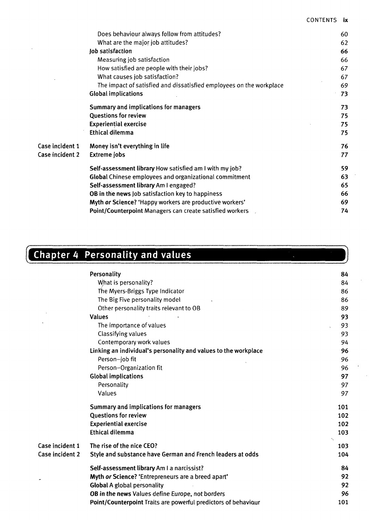|                 | Does behaviour always follow from attitudes?                        | 60 |
|-----------------|---------------------------------------------------------------------|----|
|                 | What are the major job attitudes?                                   | 62 |
|                 | Job satisfaction                                                    | 66 |
|                 | Measuring job satisfaction                                          | 66 |
|                 | How satisfied are people with their jobs?                           | 67 |
|                 | What causes job satisfaction?                                       | 67 |
|                 | The impact of satisfied and dissatisfied employees on the workplace | 69 |
|                 | <b>Global implications</b>                                          | 73 |
|                 | Summary and implications for managers                               | 73 |
|                 | Questions for review                                                | 75 |
|                 | <b>Experiential exercise</b>                                        | 75 |
|                 | Ethical dilemma                                                     | 75 |
| Case incident 1 | Money isn't everything in life                                      | 76 |
| Case incident 2 | Extreme jobs                                                        | 77 |
|                 | Self-assessment library How satisfied am I with my job?             | 59 |
|                 | <b>Global</b> Chinese employees and organizational commitment       | 63 |
|                 | Self-assessment library Am I engaged?                               | 65 |
|                 | OB in the news Job satisfaction key to happiness                    | 66 |
|                 | Myth or Science? 'Happy workers are productive workers'             | 69 |
|                 | Point/Counterpoint Managers can create satisfied workers            | 74 |

# **Chapter 4 Personality and values**

|                 | hapter 4 Personality and values                                 |     |
|-----------------|-----------------------------------------------------------------|-----|
|                 | Personality                                                     | 84  |
|                 | What is personality?                                            | 84  |
|                 | The Myers-Briggs Type Indicator                                 | 86  |
|                 | The Big Five personality model                                  | 86  |
|                 | Other personality traits relevant to OB                         | 89  |
|                 | <b>Values</b>                                                   | 93  |
|                 | The importance of values                                        | 93  |
|                 | Classifying values                                              | 93  |
|                 | Contemporary work values                                        | 94  |
|                 | Linking an individual's personality and values to the workplace | 96  |
|                 | Person-job fit                                                  | 96  |
|                 | Person-Organization fit                                         | 96  |
|                 | <b>Global implications</b>                                      | 97  |
|                 | Personality                                                     | 97  |
|                 | Values                                                          | 97  |
|                 | Summary and implications for managers                           | 101 |
|                 | <b>Questions for review</b>                                     | 102 |
|                 | <b>Experiential exercise</b>                                    | 102 |
|                 | <b>Ethical dilemma</b>                                          | 103 |
| Case incident 1 | The rise of the nice CEO?                                       | 103 |
| Case incident 2 | Style and substance have German and French leaders at odds      | 104 |
|                 | Self-assessment library Am I a narcissist?                      | 84  |
|                 | Myth or Science? 'Entrepreneurs are a breed apart'              | 92  |
|                 | <b>Global A global personality</b>                              | 92  |
|                 | OB in the news Values define Europe, not borders                | 96  |
|                 | Point/Counterpoint Traits are powerful predictors of behaviour  | 101 |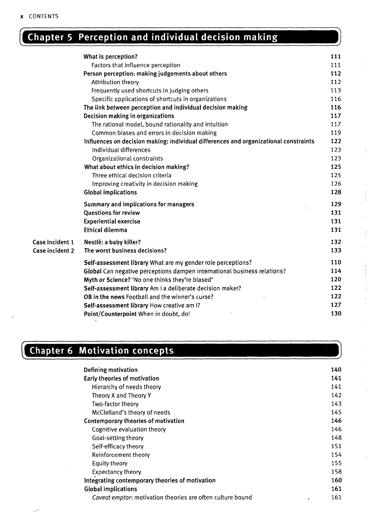### **Chapter 5 Perception and individual decision making**

|                 | What is perception?                                                                  | 111 |
|-----------------|--------------------------------------------------------------------------------------|-----|
|                 | Factors that influence perception                                                    | 111 |
|                 | Person perception: making judgements about others                                    | 112 |
|                 | Attribution theory                                                                   | 112 |
|                 | Frequently used shortcuts in judging others                                          | 113 |
|                 | Specific applications of shortcuts in organizations                                  | 116 |
|                 | The link between perception and individual decision making                           | 116 |
|                 | Decision making in organizations                                                     | 117 |
|                 | The rational model, bound rationality and intuition                                  | 117 |
|                 | Common biases and errors in decision making                                          | 119 |
|                 | Influences on decision making: individual differences and organizational constraints | 122 |
|                 | Individual differences                                                               | 123 |
|                 | Organizational constraints                                                           | 123 |
|                 | What about ethics in decision making?                                                | 125 |
|                 | Three ethical decision criteria                                                      | 125 |
|                 | Improving creativity in decision making                                              | 126 |
|                 | <b>Global implications</b>                                                           | 128 |
|                 | Summary and implications for managers                                                | 129 |
|                 | <b>Ouestions for review</b>                                                          | 131 |
|                 | <b>Experiential exercise</b>                                                         | 131 |
|                 | <b>Ethical dilemma</b>                                                               | 131 |
| Case incident 1 | Nestlé: a baby killer?                                                               | 132 |
| Case incident 2 | The worst business decisions?                                                        | 133 |
|                 | Self-assessment library What are my gender role perceptions?                         | 110 |
|                 | Global Can negative perceptions dampen international business relations?             | 114 |
|                 | Myth or Science? 'No one thinks they're biased'                                      | 120 |
|                 | Self-assessment library Am I a deliberate decision maker?                            | 122 |
|                 | OB in the news Football and the winner's curse?                                      | 122 |
|                 | Self-assessment library How creative am I?                                           | 127 |
|                 | Point/Counterpoint When in doubt, do!                                                | 130 |

#### **Chapter 6 Motivation concepts**

| Defining motivation                                        | 140                 |
|------------------------------------------------------------|---------------------|
| Early theories of motivation                               | 141                 |
| Hierarchy of needs theory                                  | 141                 |
| Theory X and Theory Y                                      | 142                 |
| Two-factor theory                                          | 143                 |
| McClelland's theory of needs                               | 145                 |
| Contemporary theories of motivation                        | 146                 |
| Cognitive evaluation theory                                | 146                 |
| Goal-setting theory                                        | 148                 |
| Self-efficacy theory                                       | 151                 |
| Reinforcement theory                                       | 154                 |
| Equity theory                                              | 155                 |
| <b>Expectancy theory</b>                                   | 158                 |
| Integrating contemporary theories of motivation            | 160                 |
| <b>Global implications</b>                                 | 161                 |
| Caveat emptor: motivation theories are often culture bound | 161<br>$\mathbf{v}$ |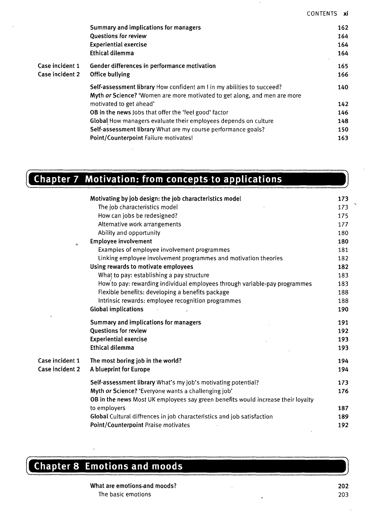| Summary and implications for managers                                     | 162 |
|---------------------------------------------------------------------------|-----|
| <b>Questions for review</b>                                               | 164 |
| <b>Experiential exercise</b>                                              | 164 |
| Ethical dilemma                                                           | 164 |
| Gender differences in performance motivation                              | 165 |
| Office bullying                                                           | 166 |
| Self-assessment library How confident am I in my abilities to succeed?    | 140 |
| Myth or Science? 'Women are more motivated to get along, and men are more |     |
| motivated to get ahead'                                                   | 142 |
| <b>OB</b> in the news Jobs that offer the 'feel good' factor              | 146 |
| Global How managers evaluate their employees depends on culture           | 148 |
| Self-assessment library What are my course performance goals?             | 150 |
| Point/Counterpoint Failure motivates!                                     | 163 |
|                                                                           |     |

|                      | Chapter 7 Motivation: from concepts to applications                        |     |
|----------------------|----------------------------------------------------------------------------|-----|
|                      | Motivating by job design: the job characteristics model                    | 173 |
|                      | The job characteristics model                                              | 173 |
|                      | How can jobs be redesigned?                                                | 175 |
|                      | Alternative work arrangements                                              | 177 |
|                      | Ability and opportunity                                                    | 180 |
| $\ddot{\phantom{0}}$ | <b>Employee involvement</b>                                                | 180 |
|                      | Examples of employee involvement programmes                                | 181 |
|                      | Linking employee involvement programmes and motivation theories            | 182 |
|                      | Using rewards to motivate employees                                        | 182 |
|                      | What to pay: establishing a pay structure                                  | 183 |
|                      | How to pay: rewarding individual employees through variable-pay programmes | 183 |
|                      | Flexible benefits: developing a benefits package                           | 188 |
|                      | Intrinsic rewards: employee recognition programmes                         | 188 |
|                      | <b>Global implications</b>                                                 | 190 |
|                      | Summary and implications for managers                                      | 191 |
|                      | <b>Questions for review</b>                                                | 192 |
|                      | <b>Experiential exercise</b>                                               | 193 |

|                 | Ethical dilemma                                                                  | 193 |
|-----------------|----------------------------------------------------------------------------------|-----|
| Case incident 1 | The most boring job in the world?                                                | 194 |
| Case incident 2 | A blueprint for Europe                                                           | 194 |
|                 | Self-assessment library What's my job's motivating potential?                    | 173 |
|                 | Myth or Science? 'Everyone wants a challenging job'                              | 176 |
|                 | OB in the news Most UK employees say green benefits would increase their loyalty |     |
|                 | to employers                                                                     | 187 |
|                 | Global Cultural diffrences in job characteristics and job satisfaction           | 189 |
|                 | Point/Counterpoint Praise motivates                                              | 192 |
|                 |                                                                                  |     |

#### **Chapter 8 Emotions and moods**

**What are emotions-and moods?** The basic emotions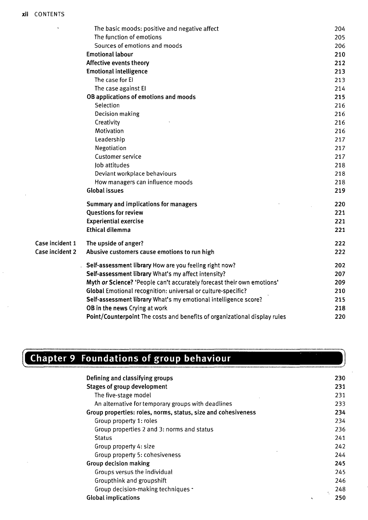$\bar{\bar{z}}$ 

|                 | The basic moods: positive and negative affect                             | 204 |
|-----------------|---------------------------------------------------------------------------|-----|
|                 | The function of emotions                                                  | 205 |
|                 | Sources of emotions and moods                                             | 206 |
|                 | <b>Emotional labour</b>                                                   | 210 |
|                 | Affective events theory                                                   | 212 |
|                 | <b>Emotional intelligence</b>                                             | 213 |
|                 | The case for El                                                           | 213 |
|                 | The case against El                                                       | 214 |
|                 | OB applications of emotions and moods                                     | 215 |
|                 | Selection                                                                 | 216 |
|                 | Decision making                                                           | 216 |
|                 | Creativity                                                                | 216 |
|                 | Motivation                                                                | 216 |
|                 | Leadership                                                                | 217 |
|                 | Negotiation                                                               | 217 |
|                 | <b>Customer service</b>                                                   | 217 |
|                 | Job attitudes                                                             | 218 |
|                 | Deviant workplace behaviours                                              | 218 |
|                 | How managers can influence moods                                          | 218 |
|                 | <b>Global issues</b>                                                      | 219 |
|                 | Summary and implications for managers                                     | 220 |
|                 | <b>Questions for review</b>                                               | 221 |
|                 | <b>Experiential exercise</b>                                              | 221 |
|                 | <b>Ethical dilemma</b>                                                    | 221 |
| Case incident 1 | The upside of anger?                                                      | 222 |
| Case incident 2 | Abusive customers cause emotions to run high                              | 222 |
|                 | Self-assessment library How are you feeling right now?                    | 202 |
|                 | Self-assessment library What's my affect intensity?                       | 207 |
|                 | Myth or Science? 'People can't accurately forecast their own emotions'    | 209 |
|                 | Global Emotional recognition: universal or culture-specific?              | 210 |
|                 | Self-assessment library What's my emotional intelligence score?           | 215 |
|                 | OB in the news Crying at work                                             | 218 |
|                 | Point/Counterpoint The costs and benefits of organizational display rules | 220 |

### **Chapter 9 Foundations of group behaviour**

| Defining and classifying groups                               | 230      |
|---------------------------------------------------------------|----------|
| <b>Stages of group development</b>                            | 231      |
| The five-stage model                                          | 231      |
| An alternative for temporary groups with deadlines            | 233      |
| Group properties: roles, norms, status, size and cohesiveness | 234      |
| Group property 1: roles                                       | 234      |
| Group properties 2 and 3: norms and status                    | 236      |
| <b>Status</b>                                                 | 241      |
| Group property 4: size                                        | 242      |
| Group property 5: cohesiveness                                | 244      |
| Group decision making                                         | 245      |
| Groups versus the individual                                  | 245      |
| Groupthink and groupshift                                     | 246      |
| Group decision-making techniques -                            | 248      |
| <b>Global implications</b>                                    | 250<br>٠ |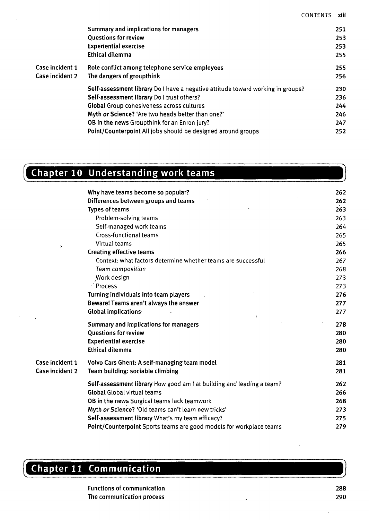|                 | Summary and implications for managers                                           | 251 |
|-----------------|---------------------------------------------------------------------------------|-----|
|                 | <b>Questions for review</b>                                                     | 253 |
|                 | <b>Experiential exercise</b>                                                    | 253 |
|                 | <b>Ethical dilemma</b>                                                          | 255 |
| Case incident 1 | Role conflict among telephone service employees                                 | 255 |
| Case incident 2 | The dangers of groupthink                                                       | 256 |
|                 | Self-assessment library Do I have a negative attitude toward working in groups? | 230 |
|                 | Self-assessment library Do I trust others?                                      | 236 |
|                 | Global Group cohesiveness across cultures                                       | 244 |
|                 | Myth or Science? 'Are two heads better than one?'                               | 246 |
|                 | <b>OB in the news Groupthink for an Enron jury?</b>                             | 247 |
|                 | Point/Counterpoint All jobs should be designed around groups                    | 252 |

#### Chapter 10 Understanding work teams

|                 | Why have teams become so popular?                                     | 262 |
|-----------------|-----------------------------------------------------------------------|-----|
|                 | Differences between groups and teams                                  | 262 |
|                 |                                                                       | 263 |
|                 | <b>Types of teams</b>                                                 |     |
|                 | Problem-solving teams                                                 | 263 |
|                 | Self-managed work teams                                               | 264 |
|                 | Cross-functional teams                                                | 265 |
| $\Omega$        | Virtual teams                                                         | 265 |
|                 | <b>Creating effective teams</b>                                       | 266 |
|                 | Context: what factors determine whether teams are successful          | 267 |
|                 | Team composition                                                      | 268 |
|                 | Work design                                                           | 273 |
|                 | <sup>2</sup> Process                                                  | 273 |
|                 | Turning individuals into team players                                 | 276 |
|                 | Beware! Teams aren't always the answer                                | 277 |
|                 | <b>Global implications</b><br>V.                                      | 277 |
|                 | Summary and implications for managers                                 | 278 |
|                 | <b>Questions for review</b>                                           | 280 |
|                 | <b>Experiential exercise</b>                                          | 280 |
|                 | <b>Ethical dilemma</b>                                                | 280 |
| Case incident 1 | Volvo Cars Ghent: A self-managing team model                          | 281 |
| Case incident 2 | Team building: sociable climbing                                      | 281 |
|                 | Self-assessment library How good am I at building and leading a team? | 262 |
|                 | <b>Global Global virtual teams</b>                                    | 266 |
|                 | OB in the news Surgical teams lack teamwork                           | 268 |
|                 | Myth or Science? 'Old teams can't learn new tricks'                   | 273 |
|                 | Self-assessment library What's my team efficacy?                      | 275 |
|                 | Point/Counterpoint Sports teams are good models for workplace teams   | 279 |

## Chapter 11 Communication

**Functions of communication The communication process**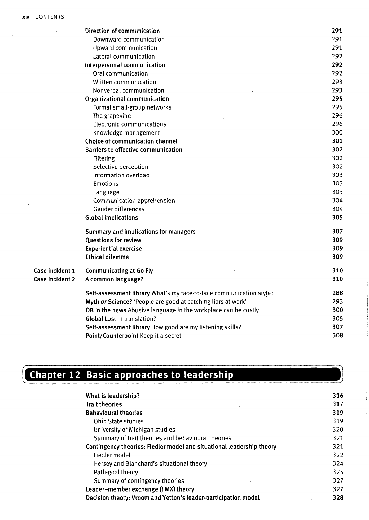|                 | Direction of communication                                          | 291 |
|-----------------|---------------------------------------------------------------------|-----|
|                 | Downward communication                                              | 291 |
|                 | Upward communication                                                | 291 |
|                 | Lateral communication                                               | 292 |
|                 | Interpersonal communication                                         | 292 |
|                 | Oral communication                                                  | 292 |
|                 | Written communication                                               | 293 |
|                 | Nonverbal communication                                             | 293 |
|                 | Organizational communication                                        | 295 |
|                 | Formal small-group networks                                         | 295 |
|                 | The grapevine                                                       | 296 |
|                 | Electronic communications                                           | 296 |
|                 | Knowledge management                                                | 300 |
|                 | Choice of communication channel                                     | 301 |
|                 | <b>Barriers to effective communication</b>                          | 302 |
|                 | Filtering                                                           | 302 |
|                 | Selective perception                                                | 302 |
|                 | Information overload                                                | 303 |
|                 | Emotions                                                            | 303 |
|                 | Language                                                            | 303 |
|                 | Communication apprehension                                          | 304 |
|                 | Gender differences                                                  | 304 |
|                 | <b>Global implications</b>                                          | 305 |
|                 | Summary and implications for managers                               | 307 |
|                 | <b>Questions for review</b>                                         | 309 |
|                 | <b>Experiential exercise</b>                                        | 309 |
|                 | <b>Ethical dilemma</b>                                              | 309 |
| Case incident 1 | <b>Communicating at Go Fly</b>                                      | 310 |
| Case incident 2 | A common language?                                                  | 310 |
|                 | Self-assessment library What's my face-to-face communication style? | 288 |
|                 | Myth or Science? 'People are good at catching liars at work'        | 293 |
|                 | OB in the news Abusive language in the workplace can be costly      | 300 |
|                 | <b>Global Lost in translation?</b>                                  | 305 |
|                 | Self-assessment library How good are my listening skills?           | 307 |
|                 | Point/Counterpoint Keep it a secret                                 | 308 |

### **Chapter 12 Basic approaches to leadership**

| <b>Trait theories</b><br><b>Behavioural theories</b><br>Ohio State studies<br>University of Michigan studies<br>Summary of trait theories and behavioural theories | 317 |
|--------------------------------------------------------------------------------------------------------------------------------------------------------------------|-----|
|                                                                                                                                                                    |     |
|                                                                                                                                                                    | 319 |
|                                                                                                                                                                    | 319 |
|                                                                                                                                                                    | 320 |
|                                                                                                                                                                    | 321 |
| Contingency theories: Fiedler model and situational leadership theory                                                                                              | 321 |
| Fiedler model                                                                                                                                                      | 322 |
| Hersey and Blanchard's situational theory                                                                                                                          | 324 |
| Path-goal theory                                                                                                                                                   | 325 |
| Summary of contingency theories                                                                                                                                    | 327 |
| Leader-member exchange (LMX) theory                                                                                                                                | 327 |
| Decision theory: Vroom and Yetton's leader-participation model<br>$\mathbf{v}$                                                                                     | 328 |

 $\hat{\boldsymbol{\beta}}$  $\frac{1}{3}$ 

 $\frac{1}{4}$ 

 $\frac{1}{k}$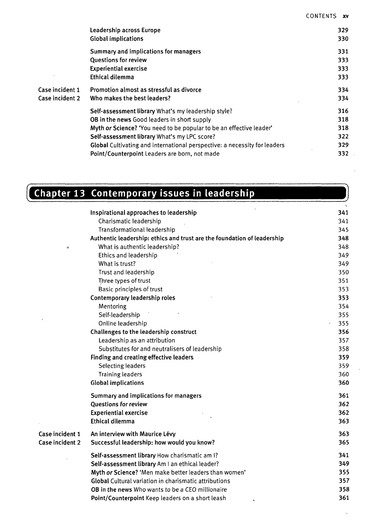| Leadership across Europe                                            | 329                                                                                                                              |
|---------------------------------------------------------------------|----------------------------------------------------------------------------------------------------------------------------------|
| <b>Global implications</b>                                          | 330                                                                                                                              |
| Summary and implications for managers                               | 331                                                                                                                              |
| <b>Questions for review</b>                                         | 333.                                                                                                                             |
| <b>Experiential exercise</b>                                        | 333.                                                                                                                             |
| Ethical dilemma                                                     | 333.                                                                                                                             |
| Promotion almost as stressful as divorce                            | 334                                                                                                                              |
| Who makes the best leaders?                                         | 334                                                                                                                              |
| Self-assessment library What's my leadership style?                 | 316                                                                                                                              |
| <b>OB in the news Good leaders in short supply</b>                  | 318                                                                                                                              |
| Myth or Science? 'You need to be popular to be an effective leader' | 318                                                                                                                              |
|                                                                     | 322.                                                                                                                             |
|                                                                     | 329.                                                                                                                             |
| Point/Counterpoint Leaders are born, not made                       | 332.                                                                                                                             |
|                                                                     | Self-assessment library What's my LPC score?<br><b>Global</b> Cultivating and international perspective: a necessity for leaders |

### **Chapter 13 Contemporary issues in leadership**

|                 |                                                                         | $\mathbf{f}_{\mathbf{a}}$ . |
|-----------------|-------------------------------------------------------------------------|-----------------------------|
|                 | Inspirational approaches to leadership                                  | 341                         |
|                 | Charismatic leadership                                                  | 341                         |
|                 | Transformational leadership                                             | 345                         |
|                 | Authentic leadership: ethics and trust are the foundation of leadership | 348                         |
| $\circ$         | What is authentic leadership?                                           | 348                         |
|                 | Ethics and leadership                                                   | 349                         |
|                 | What is trust?                                                          | 349                         |
|                 | Trust and leadership                                                    | 350                         |
|                 | Three types of trust                                                    | 351                         |
|                 | Basic principles of trust                                               | 353                         |
|                 | Contemporary leadership roles                                           | 353                         |
|                 | Mentoring                                                               | 354                         |
|                 | Self-leadership                                                         | 355                         |
|                 | Online leadership                                                       | 355                         |
|                 | Challenges to the leadership construct                                  | 356                         |
|                 | Leadership as an attribution                                            | 357                         |
|                 | Substitutes for and neutralisers of leadership                          | 358                         |
|                 | Finding and creating effective leaders                                  | 359                         |
|                 | <b>Selecting leaders</b>                                                | 359                         |
|                 | <b>Training leaders</b>                                                 | 360                         |
|                 | <b>Global implications</b>                                              | 360                         |
|                 | Summary and implications for managers                                   | 361                         |
|                 | <b>Questions for review</b>                                             | 362                         |
|                 | <b>Experiential exercise</b>                                            | 362                         |
|                 | <b>Ethical dilemma</b>                                                  | 363                         |
| Case incident 1 | An interview with Maurice Lévy                                          | 363                         |
| Case incident 2 | Successful leadership: how would you know?                              | 365                         |
|                 | Self-assessment library How charismatic am I?                           | 341                         |
|                 | Self-assessment library Am I an ethical leader?                         | 349                         |
|                 | Myth or Science? 'Men make better leaders than women'                   | 355                         |
|                 | <b>Global Cultural variation in charismatic attributions</b>            | 357                         |
|                 | <b>OB</b> in the news Who wants to be a CEO millionaire                 | 358                         |
|                 | Point/Counterpoint Keep leaders on a short leash                        | 361                         |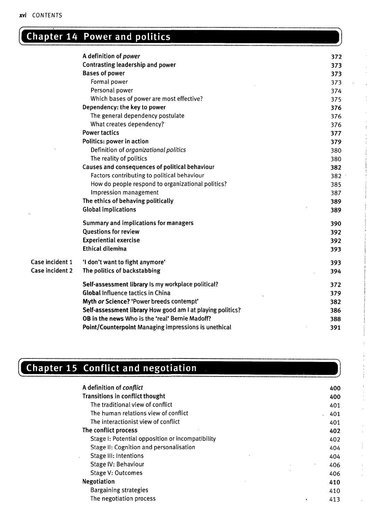#### **Chapter 14 Power and politics**

|                 | A definition of power                                      | 372 |
|-----------------|------------------------------------------------------------|-----|
|                 | Contrasting leadership and power                           | 373 |
|                 | <b>Bases of power</b>                                      | 373 |
|                 | Formal power                                               | 373 |
|                 | Personal power                                             | 374 |
|                 | Which bases of power are most effective?                   | 375 |
|                 | Dependency: the key to power                               | 376 |
|                 | The general dependency postulate                           | 376 |
|                 | What creates dependency?                                   | 376 |
|                 | <b>Power tactics</b>                                       | 377 |
|                 | Politics: power in action                                  | 379 |
|                 | Definition of organizational politics                      | 380 |
|                 | The reality of politics                                    | 380 |
|                 | Causes and consequences of political behaviour             | 382 |
|                 | Factors contributing to political behaviour                | 382 |
|                 | How do people respond to organizational politics?          | 385 |
|                 | Impression management                                      | 387 |
|                 | The ethics of behaving politically                         | 389 |
|                 | <b>Global implications</b>                                 | 389 |
|                 | Summary and implications for managers                      | 390 |
|                 | <b>Ouestions for review</b>                                | 392 |
|                 | <b>Experiential exercise</b>                               | 392 |
|                 | Ethical dilemma                                            | 393 |
| Case incident 1 | 'I don't want to fight anymore'                            | 393 |
| Case incident 2 | The politics of backstabbing                               | 394 |
|                 | Self-assessment library is my workplace political?         | 372 |
|                 | <b>Global Influence tactics in China</b>                   | 379 |
|                 | Myth or Science? 'Power breeds contempt'                   | 382 |
|                 | Self-assessment library How good am I at playing politics? | 386 |
|                 | OB in the news Who is the 'real' Bernie Madoff?            | 388 |
|                 | Point/Counterpoint Managing impressions is unethical       | 391 |

### **Chapter 15 Conflict and negotiation**

| A definition of <i>conflict</i>                  |   | 400 |
|--------------------------------------------------|---|-----|
| Transitions in conflict thought                  |   | 400 |
| The traditional view of conflict                 |   | 401 |
| The human relations view of conflict             |   | 401 |
| The interactionist view of conflict              |   | 401 |
| The conflict process                             |   | 402 |
| Stage I: Potential opposition or incompatibility |   | 402 |
| Stage II: Cognition and personalisation          |   | 404 |
| Stage III: Intentions                            |   | 404 |
| Stage IV: Behaviour                              |   | 406 |
| Stage V: Outcomes                                |   | 406 |
| <b>Negotiation</b>                               |   | 410 |
| Bargaining strategies                            |   | 410 |
| The negotiation process                          | ٠ | 413 |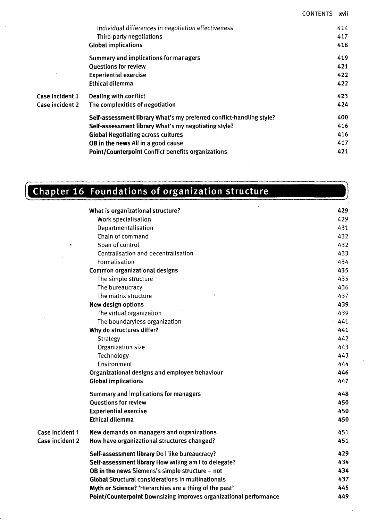|                 | Individual differences in negotiation effectiveness                  | 414 |
|-----------------|----------------------------------------------------------------------|-----|
|                 | Third-party negotiations                                             | 417 |
|                 | <b>Global implications</b>                                           | 418 |
|                 | Summary and implications for managers                                | 419 |
|                 | <b>Ouestions for review</b>                                          | 421 |
|                 | <b>Experiential exercise</b>                                         | 422 |
|                 | Ethical dilemma                                                      | 422 |
| Case incident 1 | Dealing with conflict                                                | 423 |
| Case incident 2 | The complexities of negotiation                                      | 424 |
|                 | Self-assessment library What's my preferred conflict-handling style? | 400 |
|                 | Self-assessment library What's my negotiating style?                 | 416 |
|                 | <b>Global Negotiating across cultures</b>                            | 416 |
|                 | <b>OB in the news All in a good cause</b>                            | 417 |
|                 | <b>Point/Counterpoint Conflict benefits organizations</b>            | 421 |

### **Chapter 16 Foundations of organization structure**

|                 | What is organizational structure?                                 | 429 |
|-----------------|-------------------------------------------------------------------|-----|
|                 | Work specialisation                                               | 429 |
|                 | Departmentalisation                                               | 431 |
|                 | Chain of command                                                  | 432 |
| $\circ$         | Span of control                                                   | 432 |
|                 | Centralisation and decentralisation                               | 433 |
|                 | Formalisation                                                     | 434 |
|                 | Common organizational designs                                     | 435 |
|                 | The simple structure                                              | 435 |
|                 | The bureaucracy                                                   | 436 |
|                 | The matrix structure                                              | 437 |
|                 | New design options                                                | 439 |
|                 | The virtual organization                                          | 439 |
|                 | The boundaryless organization                                     | 441 |
|                 | Why do structures differ?                                         | 441 |
|                 | Strategy                                                          | 442 |
|                 | Organization size                                                 | 443 |
|                 | Technology                                                        | 443 |
|                 | Environment                                                       | 444 |
|                 | Organizational designs and employee behaviour                     | 446 |
|                 | <b>Global implications</b>                                        | 447 |
|                 | Summary and implications for managers                             | 448 |
|                 | <b>Questions for review</b>                                       | 450 |
|                 | <b>Experiential exercise</b>                                      | 450 |
|                 | Ethical dilemma                                                   | 450 |
| Case incident 1 | New demands on managers and organizations                         | 451 |
| Case incident 2 | How have organizational structures changed?                       | 451 |
|                 | Self-assessment library Do I like bureaucracy?                    | 429 |
|                 | Self-assessment library How willing am I to delegate?             | 434 |
|                 | OB in the news Siemens's simple structure - not                   | 434 |
|                 | <b>Global Structural considerations in multinationals</b>         | 437 |
|                 | Myth or Science? 'Hierarchies are a thing of the past'            | 445 |
|                 | Point/Counterpoint Downsizing improves organizational performance | 449 |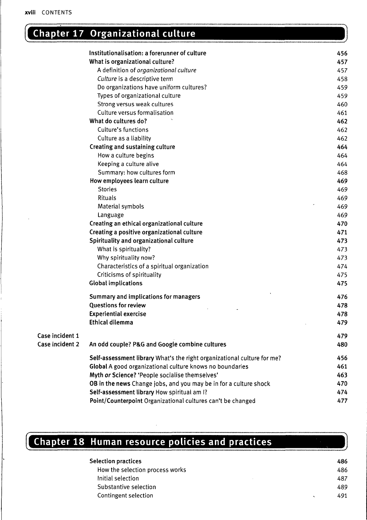**Case incident 1 Case incident 2**

#### **Chapter 17 Organizational culture**

|            | Institutionalisation: a forerunner of culture                           | 456 |
|------------|-------------------------------------------------------------------------|-----|
|            | What is organizational culture?                                         | 457 |
|            | A definition of organizational culture                                  | 457 |
|            | Culture is a descriptive term                                           | 458 |
|            | Do organizations have uniform cultures?                                 | 459 |
|            | Types of organizational culture                                         | 459 |
|            | Strong versus weak cultures                                             | 460 |
|            | Culture versus formalisation                                            | 461 |
|            | What do cultures do?                                                    | 462 |
|            | Culture's functions                                                     | 462 |
|            | Culture as a liability                                                  | 462 |
|            | Creating and sustaining culture                                         | 464 |
|            | How a culture begins                                                    | 464 |
|            | Keeping a culture alive                                                 | 464 |
|            | Summary: how cultures form                                              | 468 |
|            | How employees learn culture                                             | 469 |
|            | <b>Stories</b>                                                          | 469 |
|            | Rituals                                                                 | 469 |
|            | Material symbols                                                        | 469 |
|            | Language                                                                | 469 |
|            | Creating an ethical organizational culture                              | 470 |
|            | Creating a positive organizational culture                              | 471 |
|            | Spirituality and organizational culture                                 | 473 |
|            | What is spirituality?                                                   | 473 |
|            | Why spirituality now?                                                   | 473 |
|            | Characteristics of a spiritual organization                             | 474 |
|            | Criticisms of spirituality                                              | 475 |
|            | <b>Global implications</b>                                              | 475 |
|            | Summary and implications for managers                                   | 476 |
|            | Questions for review                                                    | 478 |
|            | <b>Experiential exercise</b>                                            | 478 |
|            | Ethical dilemma                                                         | 479 |
| incident 1 |                                                                         | 479 |
| incident 2 | An odd couple? P&G and Google combine cultures                          | 480 |
|            | Self-assessment library What's the right organizational culture for me? | 456 |
|            | Global A good organizational culture knows no boundaries                | 461 |
|            | Myth or Science? 'People socialise themselves'                          | 463 |
|            | OB in the news Change jobs, and you may be in for a culture shock       | 470 |
|            | Self-assessment library How spiritual am I?                             | 474 |
|            | Point/Counterpoint Organizational cultures can't be changed             | 477 |
|            |                                                                         |     |

# **Chapter 18 Human resource policies and practices**

| <b>Selection practices</b>      |  | 486 |
|---------------------------------|--|-----|
| How the selection process works |  | 486 |
| Initial selection               |  | 487 |
| Substantive selection           |  | 489 |
| Contingent selection            |  | 491 |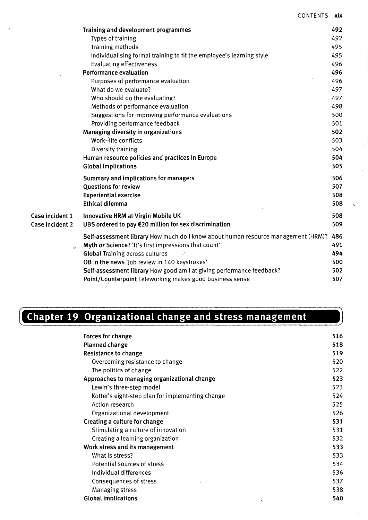|                                                          | Training and development programmes                                               | 492 |
|----------------------------------------------------------|-----------------------------------------------------------------------------------|-----|
|                                                          | <b>Types of training</b>                                                          | 492 |
|                                                          | Training methods                                                                  | 495 |
|                                                          | Individualising formal training to fit the employee's learning style              | 495 |
|                                                          | <b>Evaluating effectiveness</b>                                                   | 496 |
|                                                          | <b>Performance evaluation</b>                                                     | 496 |
|                                                          | Purposes of performance evaluation                                                | 496 |
|                                                          | What do we evaluate?                                                              | 497 |
|                                                          | Who should do the evaluating?                                                     | 497 |
|                                                          | Methods of performance evaluation                                                 | 498 |
|                                                          | Suggestions for improving performance evaluations                                 | 500 |
|                                                          | Providing performance feedback                                                    | 501 |
|                                                          | Managing diversity in organizations                                               | 502 |
|                                                          | Work-life conflicts                                                               | 503 |
|                                                          | Diversity training                                                                | 504 |
|                                                          | Human resource policies and practices in Europe                                   | 504 |
|                                                          | <b>Global implications</b>                                                        | 505 |
|                                                          | Summary and implications for managers                                             | 506 |
|                                                          | Questions for review                                                              | 507 |
|                                                          | <b>Experiential exercise</b>                                                      | 508 |
|                                                          | <b>Ethical dilemma</b>                                                            | 508 |
| Case incident 1                                          | Innovative HRM at Virgin Mobile UK                                                | 508 |
| Case incident 2                                          | UBS ordered to pay €20 million for sex discrimination                             | 509 |
|                                                          | Self-assessment library How much do I know about human resource management (HRM)? | 486 |
|                                                          | Myth or Science? 'It's first impressions that count'                              | 491 |
|                                                          | <b>Global Training across cultures</b>                                            | 494 |
|                                                          | OB in the news 'Job review in 140 keystrokes'                                     | 500 |
|                                                          | Self-assessment library How good am I at giving performance feedback?             | 502 |
| Point/Counterpoint Teleworking makes good business sense |                                                                                   |     |

#### **Chapter 19 Organizational change and stress management**

| <b>Forces for change</b>                         | 516 |
|--------------------------------------------------|-----|
| <b>Planned change</b>                            | 518 |
| Resistance to change                             | 519 |
| Overcoming resistance to change                  | 520 |
| The politics of change                           | 522 |
| Approaches to managing organizational change     | 523 |
| Lewin's three-step model                         | 523 |
| Kotter's eight-step plan for implementing change | 524 |
| Action research                                  | 525 |
| Organizational development                       | 526 |
| Creating a culture for change                    | 531 |
| Stimulating a culture of innovation              | 531 |
| Creating a learning organization                 | 532 |
| Work stress and its management                   | 533 |
| What is stress?                                  | 533 |
| Potential sources of stress                      | 534 |
| Individual differences                           | 536 |
| Consequences of stress                           | 537 |
| Managing stress                                  | 538 |
| <b>Global implications</b>                       | 540 |